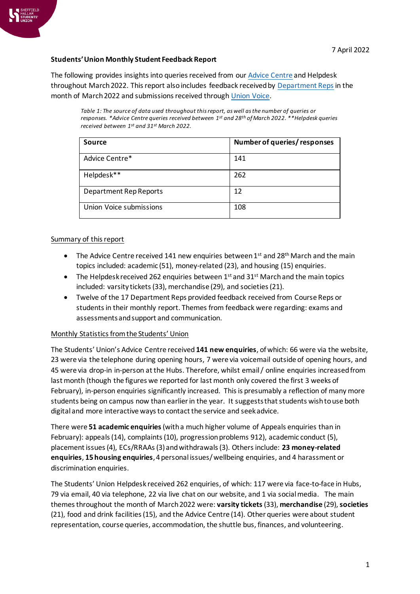

# **Students' Union Monthly Student Feedback Report**

The following provides insights into queries received from ou[r Advice Centre](https://www.hallamstudentsunion.com/advice_help/) and Helpdesk throughout March 2022. This report also includes feedback received by [Department Reps](https://www.hallamstudentsunion.com/representation/academicinterests/departmentreps/) in the month of March 2022 and submissions received throug[h Union Voice.](https://www.hallamstudentsunion.com/representation/research/union-voice/)

*Table 1: The source of data used throughout this report, as well as the number of queries or responses. \*Advice Centre queries received between 1 st and 28th of March 2022. \*\*Helpdesk queries received between 1 st and 31st March 2022.*

| <b>Source</b>                 | Number of queries/responses |
|-------------------------------|-----------------------------|
| Advice Centre*                | 141                         |
| Helpdesk**                    | 262                         |
| <b>Department Rep Reports</b> | 12                          |
| Union Voice submissions       | 108                         |

#### Summary of this report

- The Advice Centre received 141 new enquiries between  $1<sup>st</sup>$  and 28<sup>th</sup> March and the main topics included: academic (51), money-related (23), and housing (15) enquiries.
- The Helpdesk received 262 enquiries between  $1<sup>st</sup>$  and 31<sup>st</sup> March and the main topics included: varsity tickets (33), merchandise (29), and societies (21).
- Twelve of the 17 Department Reps provided feedback received from Course Reps or students in their monthly report. Themes from feedback were regarding: exams and assessments and support and communication.

## Monthly Statistics from the Students' Union

The Students' Union's Advice Centre received **141 new enquiries**, of which: 66 were via the website, 23 were via the telephone during opening hours, 7 were via voicemail outside of opening hours, and 45 were via drop-in in-person at the Hubs. Therefore, whilst email / online enquiries increased from last month (though the figures we reported for last month only covered the first 3 weeks of February), in-person enquiries significantly increased. This is presumably a reflection of many more students being on campus now than earlier in the year. It suggests that students wish to use both digital and more interactive ways to contact the service and seek advice.

There were **51 academic enquiries**(with a much higher volume of Appeals enquiries than in February): appeals (14), complaints (10), progression problems 912), academic conduct (5), placement issues (4), ECs/RRAAs (3) and withdrawals (3). Others include: **23 money-related enquiries**, **15 housing enquiries**, 4 personal issues/ wellbeing enquiries, and 4 harassment or discrimination enquiries.

The Students' Union Helpdesk received 262 enquiries, of which: 117 were via face-to-face in Hubs, 79 via email, 40 via telephone, 22 via live chat on our website, and 1 via social media. The main themes throughout the month of March 2022 were: **varsity tickets**(33), **merchandise** (29), **societies** (21), food and drink facilities (15), and the Advice Centre (14). Other queries were about student representation, course queries, accommodation, the shuttle bus, finances, and volunteering.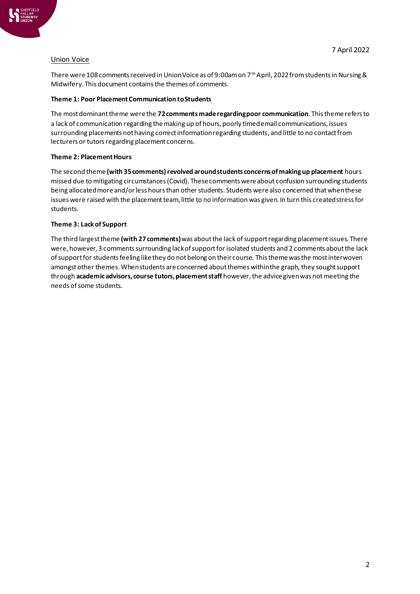## Union Voice

There were 108 comments received in Union Voice as of 9:00am on 7<sup>th</sup> April, 2022 from students in Nursing & Midwifery. This document contains the themes of comments.

#### **Theme 1: Poor Placement Communication to Students**

The most dominant theme werethe **72 comments made regarding poor communication**. This theme refers to a lack of communication regarding the making up of hours, poorly timed email communications, issues surrounding placements not having correct information regarding students, and little to no contact from lecturers or tutors regarding placement concerns.

## **Theme 2: Placement Hours**

The second theme **(with 35 comments) revolved around students concerns of making up placement** hours missed due to mitigating circumstances (Covid). These comments were about confusion surrounding students being allocated more and/or less hours than other students. Students were also concerned that when these issues were raised with the placement team, little to no information was given. In turn this created stress for students.

## **Theme 3: Lack of Support**

The third largest theme **(with 27 comments)**was aboutthe lack of support regarding placement issues. There were, however, 3 comments surrounding lack of support for isolated students and 2 comments about the lack of support for students feeling like they do not belong on their course. This theme was the most interwoven amongst other themes. When students are concerned about themes within the graph, they sought support through **academic advisors, course tutors, placement staff** however, the advice given was not meeting the needs of some students.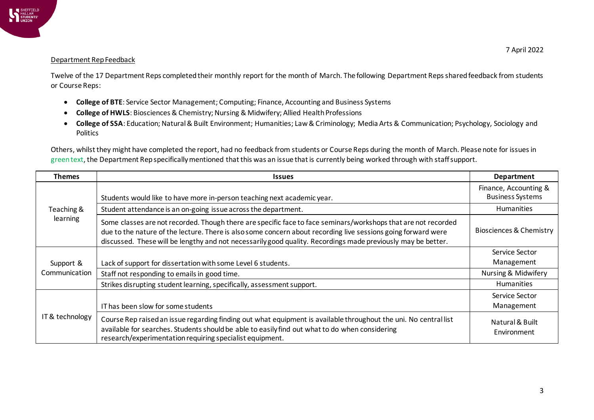

#### Department Rep Feedback

Twelve of the 17 Department Reps completed their monthly report for the month of March. The following Department Reps shared feedback from students or Course Reps:

- **College of BTE**: Service Sector Management; Computing; Finance, Accounting and Business Systems
- **College of HWLS**: Biosciences & Chemistry; Nursing & Midwifery; Allied Health Professions
- **College of SSA**: Education; Natural & Built Environment; Humanities; Law & Criminology; Media Arts & Communication; Psychology, Sociology and Politics

Others, whilst they might have completed the report, had no feedback from students or Course Reps during the month of March. Please note for issues in green text, the Department Rep specifically mentioned that this was an issue that is currently being worked through with staff support.

| <b>Themes</b>              | <b>Issues</b>                                                                                                                                                                                                                                                                                                                                   | Department                                       |
|----------------------------|-------------------------------------------------------------------------------------------------------------------------------------------------------------------------------------------------------------------------------------------------------------------------------------------------------------------------------------------------|--------------------------------------------------|
| Teaching &<br>learning     | Students would like to have more in-person teaching next academic year.                                                                                                                                                                                                                                                                         | Finance, Accounting &<br><b>Business Systems</b> |
|                            | Student attendance is an on-going issue across the department.                                                                                                                                                                                                                                                                                  | <b>Humanities</b>                                |
|                            | Some classes are not recorded. Though there are specific face to face seminars/workshops that are not recorded<br>due to the nature of the lecture. There is also some concern about recording live sessions going forward were<br>discussed. These will be lengthy and not necessarily good quality. Recordings made previously may be better. | Biosciences & Chemistry                          |
| Support &<br>Communication | Lack of support for dissertation with some Level 6 students.                                                                                                                                                                                                                                                                                    | Service Sector<br>Management                     |
|                            | Staff not responding to emails in good time.                                                                                                                                                                                                                                                                                                    | Nursing & Midwifery                              |
|                            | Strikes disrupting student learning, specifically, assessment support.                                                                                                                                                                                                                                                                          | <b>Humanities</b>                                |
| IT & technology            | IT has been slow for some students                                                                                                                                                                                                                                                                                                              | Service Sector<br>Management                     |
|                            | Course Rep raised an issue regarding finding out what equipment is available throughout the uni. No central list<br>available for searches. Students should be able to easily find out what to do when considering<br>research/experimentation requiring specialist equipment.                                                                  | Natural & Built<br>Environment                   |

7 April 2022